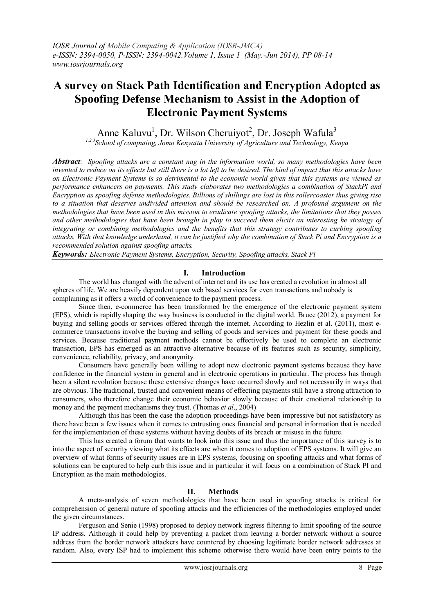# **A survey on Stack Path Identification and Encryption Adopted as Spoofing Defense Mechanism to Assist in the Adoption of Electronic Payment Systems**

Anne Kaluvu<sup>1</sup>, Dr. Wilson Cheruiyot<sup>2</sup>, Dr. Joseph Wafula<sup>3</sup>

*1,2,3School of computing, Jomo Kenyatta University of Agriculture and Technology, Kenya*

*Abstract: Spoofing attacks are a constant nag in the information world, so many methodologies have been invented to reduce on its effects but still there is a lot left to be desired. The kind of impact that this attacks have on Electronic Payment Systems is so detrimental to the economic world given that this systems are viewed as performance enhancers on payments. This study elaborates two methodologies a combination of StackPi and Encryption as spoofing defense methodologies. Billions of shillings are lost in this rollercoaster thus giving rise to a situation that deserves undivided attention and should be researched on. A profound argument on the methodologies that have been used in this mission to eradicate spoofing attacks, the limitations that they posses and other methodologies that have been brought in play to succeed them elicits an interesting he strategy of integrating or combining methodologies and the benefits that this strategy contributes to curbing spoofing attacks. With that knowledge underhand, it can be justified why the combination of Stack Pi and Encryption is a recommended solution against spoofing attacks.* 

*Keywords: Electronic Payment Systems, Encryption, Security, Spoofing attacks, Stack Pi*

## **I. Introduction**

The world has changed with the advent of internet and its use has created a revolution in almost all spheres of life. We are heavily dependent upon web based services for even transactions and nobody is complaining as it offers a world of convenience to the payment process.

Since then, e-commerce has been transformed by the emergence of the electronic payment system (EPS), which is rapidly shaping the way business is conducted in the digital world. Bruce (2012), a payment for buying and selling goods or services offered through the internet. According to Hezlin et al. (2011), most ecommerce transactions involve the buying and selling of goods and services and payment for these goods and services. Because traditional payment methods cannot be effectively be used to complete an electronic transaction, EPS has emerged as an attractive alternative because of its features such as security, simplicity, convenience, reliability, privacy, and anonymity.

Consumers have generally been willing to adopt new electronic payment systems because they have confidence in the financial system in general and in electronic operations in particular. The process has though been a silent revolution because these extensive changes have occurred slowly and not necessarily in ways that are obvious. The traditional, trusted and convenient means of effecting payments still have a strong attraction to consumers, who therefore change their economic behavior slowly because of their emotional relationship to money and the payment mechanisms they trust. (Thomas *et al*., 2004)

Although this has been the case the adoption proceedings have been impressive but not satisfactory as there have been a few issues when it comes to entrusting ones financial and personal information that is needed for the implementation of these systems without having doubts of its breach or misuse in the future.

This has created a forum that wants to look into this issue and thus the importance of this survey is to into the aspect of security viewing what its effects are when it comes to adoption of EPS systems. It will give an overview of what forms of security issues are in EPS systems, focusing on spoofing attacks and what forms of solutions can be captured to help curb this issue and in particular it will focus on a combination of Stack PI and Encryption as the main methodologies.

#### **II. Methods**

A meta-analysis of seven methodologies that have been used in spoofing attacks is critical for comprehension of general nature of spoofing attacks and the efficiencies of the methodologies employed under the given circumstances.

Ferguson and Senie (1998) proposed to deploy network ingress filtering to limit spoofing of the source IP address. Although it could help by preventing a packet from leaving a border network without a source address from the border network attackers have countered by choosing legitimate border network addresses at random. Also, every ISP had to implement this scheme otherwise there would have been entry points to the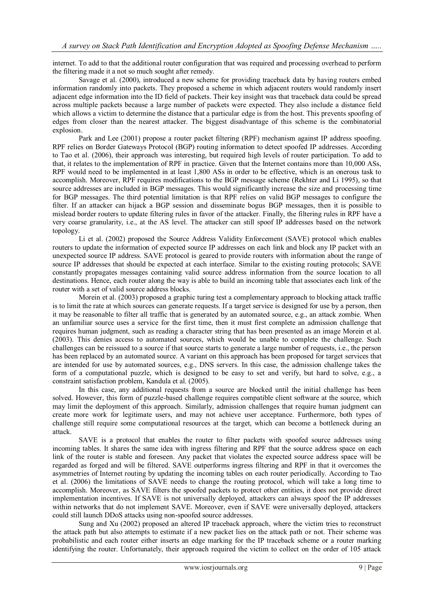internet. To add to that the additional router configuration that was required and processing overhead to perform the filtering made it a not so much sought after remedy.

Savage et al. (2000), introduced a new scheme for providing traceback data by having routers embed information randomly into packets. They proposed a scheme in which adjacent routers would randomly insert adjacent edge information into the ID field of packets. Their key insight was that traceback data could be spread across multiple packets because a large number of packets were expected. They also include a distance field which allows a victim to determine the distance that a particular edge is from the host. This prevents spoofing of edges from closer than the nearest attacker. The biggest disadvantage of this scheme is the combinatorial explosion.

Park and Lee (2001) propose a router packet filtering (RPF) mechanism against IP address spoofing. RPF relies on Border Gateways Protocol (BGP) routing information to detect spoofed IP addresses. According to Tao et al. (2006), their approach was interesting, but required high levels of router participation. To add to that, it relates to the implementation of RPF in practice. Given that the Internet contains more than 10,000 ASs, RPF would need to be implemented in at least 1,800 ASs in order to be effective, which is an onerous task to accomplish. Moreover, RPF requires modifications to the BGP message scheme (Rekhter and Li 1995), so that source addresses are included in BGP messages. This would significantly increase the size and processing time for BGP messages. The third potential limitation is that RPF relies on valid BGP messages to configure the filter. If an attacker can hijack a BGP session and disseminate bogus BGP messages, then it is possible to mislead border routers to update filtering rules in favor of the attacker. Finally, the filtering rules in RPF have a very coarse granularity, i.e., at the AS level. The attacker can still spoof IP addresses based on the network topology.

Li et al. (2002) proposed the Source Address Validity Enforcement (SAVE) protocol which enables routers to update the information of expected source IP addresses on each link and block any IP packet with an unexpected source IP address. SAVE protocol is geared to provide routers with information about the range of source IP addresses that should be expected at each interface. Similar to the existing routing protocols; SAVE constantly propagates messages containing valid source address information from the source location to all destinations. Hence, each router along the way is able to build an incoming table that associates each link of the router with a set of valid source address blocks.

Morein et al. (2003) proposed a graphic turing test a complementary approach to blocking attack traffic is to limit the rate at which sources can generate requests. If a target service is designed for use by a person, then it may be reasonable to filter all traffic that is generated by an automated source, e.g., an attack zombie. When an unfamiliar source uses a service for the first time, then it must first complete an admission challenge that requires human judgment, such as reading a character string that has been presented as an image Morein et al. (2003). This denies access to automated sources, which would be unable to complete the challenge. Such challenges can be reissued to a source if that source starts to generate a large number of requests, i.e., the person has been replaced by an automated source. A variant on this approach has been proposed for target services that are intended for use by automated sources, e.g., DNS servers. In this case, the admission challenge takes the form of a computational puzzle, which is designed to be easy to set and verify, but hard to solve, e.g., a constraint satisfaction problem, Kandula et al. (2005).

In this case, any additional requests from a source are blocked until the initial challenge has been solved. However, this form of puzzle-based challenge requires compatible client software at the source, which may limit the deployment of this approach. Similarly, admission challenges that require human judgment can create more work for legitimate users, and may not achieve user acceptance. Furthermore, both types of challenge still require some computational resources at the target, which can become a bottleneck during an attack.

SAVE is a protocol that enables the router to filter packets with spoofed source addresses using incoming tables. It shares the same idea with ingress filtering and RPF that the source address space on each link of the router is stable and foreseen. Any packet that violates the expected source address space will be regarded as forged and will be filtered. SAVE outperforms ingress filtering and RPF in that it overcomes the asymmetries of Internet routing by updating the incoming tables on each router periodically. According to Tao et al. (2006) the limitations of SAVE needs to change the routing protocol, which will take a long time to accomplish. Moreover, as SAVE filters the spoofed packets to protect other entities, it does not provide direct implementation incentives. If SAVE is not universally deployed, attackers can always spoof the IP addresses within networks that do not implement SAVE. Moreover, even if SAVE were universally deployed, attackers could still launch DDoS attacks using non-spoofed source addresses.

Sung and Xu (2002) proposed an altered IP traceback approach, where the victim tries to reconstruct the attack path but also attempts to estimate if a new packet lies on the attack path or not. Their scheme was probabilistic and each router either inserts an edge marking for the IP traceback scheme or a router marking identifying the router. Unfortunately, their approach required the victim to collect on the order of 105 attack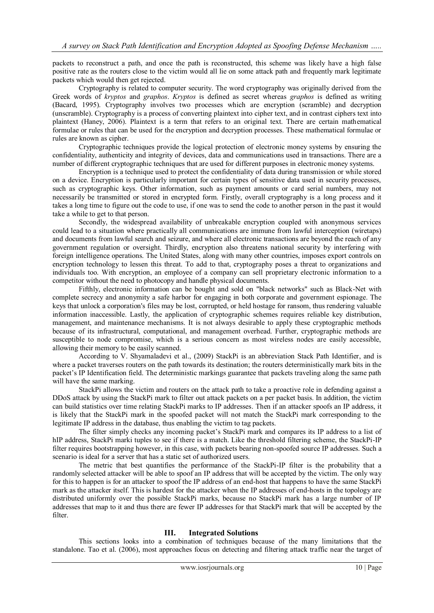packets to reconstruct a path, and once the path is reconstructed, this scheme was likely have a high false positive rate as the routers close to the victim would all lie on some attack path and frequently mark legitimate packets which would then get rejected.

Cryptography is related to computer security. The word cryptography was originally derived from the Greek words of *kryptos* and *graphos*. *Kryptos* is defined as secret whereas *graphos* is defined as writing (Bacard, 1995). Cryptography involves two processes which are encryption (scramble) and decryption (unscramble). Cryptography is a process of converting plaintext into cipher text, and in contrast ciphers text into plaintext (Haney, 2006). Plaintext is a term that refers to an original text. There are certain mathematical formulae or rules that can be used for the encryption and decryption processes. These mathematical formulae or rules are known as cipher.

Cryptographic techniques provide the logical protection of electronic money systems by ensuring the confidentiality, authenticity and integrity of devices, data and communications used in transactions. There are a number of different cryptographic techniques that are used for different purposes in electronic money systems.

Encryption is a technique used to protect the confidentiality of data during transmission or while stored on a device. Encryption is particularly important for certain types of sensitive data used in security processes, such as cryptographic keys. Other information, such as payment amounts or card serial numbers, may not necessarily be transmitted or stored in encrypted form. Firstly, overall cryptography is a long process and it takes a long time to figure out the code to use, if one was to send the code to another person in the past it would take a while to get to that person.

Secondly, the widespread availability of unbreakable encryption coupled with anonymous services could lead to a situation where practically all communications are immune from lawful interception (wiretaps) and documents from lawful search and seizure, and where all electronic transactions are beyond the reach of any government regulation or oversight. Thirdly, encryption also threatens national security by interfering with foreign intelligence operations. The United States, along with many other countries, imposes export controls on encryption technology to lessen this threat. To add to that, cryptography poses a threat to organizations and individuals too. With encryption, an employee of a company can sell proprietary electronic information to a competitor without the need to photocopy and handle physical documents.

Fifthly, electronic information can be bought and sold on "black networks" such as Black-Net with complete secrecy and anonymity a safe harbor for engaging in both corporate and government espionage. The keys that unlock a corporation's files may be lost, corrupted, or held hostage for ransom, thus rendering valuable information inaccessible. Lastly, the application of cryptographic schemes requires reliable key distribution, management, and maintenance mechanisms. It is not always desirable to apply these cryptographic methods because of its infrastructural, computational, and management overhead. Further, cryptographic methods are susceptible to node compromise, which is a serious concern as most wireless nodes are easily accessible, allowing their memory to be easily scanned.

According to V. Shyamaladevi et al., (2009) StackPi is an abbreviation Stack Path Identifier, and is where a packet traverses routers on the path towards its destination; the routers deterministically mark bits in the packet's IP Identification field. The deterministic markings guarantee that packets traveling along the same path will have the same marking.

StackPi allows the victim and routers on the attack path to take a proactive role in defending against a DDoS attack by using the StackPi mark to filter out attack packets on a per packet basis. In addition, the victim can build statistics over time relating StackPi marks to IP addresses. Then if an attacker spoofs an IP address, it is likely that the StackPi mark in the spoofed packet will not match the StackPi mark corresponding to the legitimate IP address in the database, thus enabling the victim to tag packets.

The filter simply checks any incoming packet's StackPi mark and compares its IP address to a list of hIP address, StackPi marki tuples to see if there is a match. Like the threshold filtering scheme, the StackPi-IP filter requires bootstrapping however, in this case, with packets bearing non-spoofed source IP addresses. Such a scenario is ideal for a server that has a static set of authorized users.

The metric that best quantifies the performance of the StackPi-IP filter is the probability that a randomly selected attacker will be able to spoof an IP address that will be accepted by the victim. The only way for this to happen is for an attacker to spoof the IP address of an end-host that happens to have the same StackPi mark as the attacker itself. This is hardest for the attacker when the IP addresses of end-hosts in the topology are distributed uniformly over the possible StackPi marks, because no StackPi mark has a large number of IP addresses that map to it and thus there are fewer IP addresses for that StackPi mark that will be accepted by the filter.

#### **III. Integrated Solutions**

This sections looks into a combination of techniques because of the many limitations that the standalone. Tao et al. (2006), most approaches focus on detecting and filtering attack traffic near the target of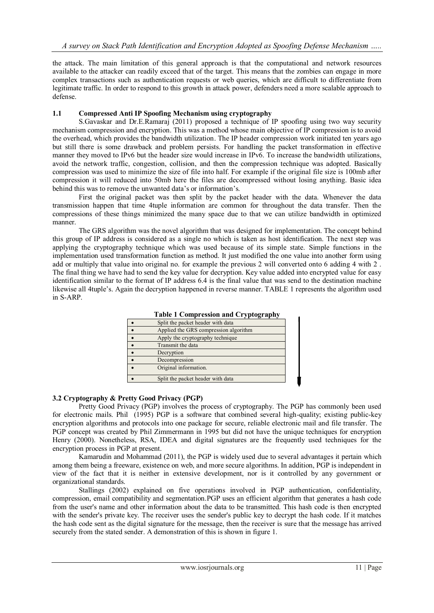the attack. The main limitation of this general approach is that the computational and network resources available to the attacker can readily exceed that of the target. This means that the zombies can engage in more complex transactions such as authentication requests or web queries, which are difficult to differentiate from legitimate traffic. In order to respond to this growth in attack power, defenders need a more scalable approach to defense.

#### **1.1 Compressed Anti IP Spoofing Mechanism using cryptography**

S.Gavaskar and Dr.E.Ramaraj (2011) proposed a technique of IP spoofing using two way security mechanism compression and encryption. This was a method whose main objective of IP compression is to avoid the overhead, which provides the bandwidth utilization. The IP header compression work initiated ten years ago but still there is some drawback and problem persists. For handling the packet transformation in effective manner they moved to IPv6 but the header size would increase in IPv6. To increase the bandwidth utilizations, avoid the network traffic, congestion, collision, and then the compression technique was adopted. Basically compression was used to minimize the size of file into half. For example if the original file size is 100mb after compression it will reduced into 50mb here the files are decompressed without losing anything. Basic idea behind this was to remove the unwanted data's or information's.

First the original packet was then split by the packet header with the data. Whenever the data transmission happen that time 4tuple information are common for throughout the data transfer. Then the compressions of these things minimized the many space due to that we can utilize bandwidth in optimized manner.

The GRS algorithm was the novel algorithm that was designed for implementation. The concept behind this group of IP address is considered as a single no which is taken as host identification. The next step was applying the cryptography technique which was used because of its simple state. Simple functions in the implementation used transformation function as method. It just modified the one value into another form using add or multiply that value into original no. for example the previous 2 will converted onto 6 adding 4 with 2 . The final thing we have had to send the key value for decryption. Key value added into encrypted value for easy identification similar to the format of IP address 6.4 is the final value that was send to the destination machine likewise all 4tuple's. Again the decryption happened in reverse manner. TABLE 1 represents the algorithm used in S-ARP.

| $\frac{1}{2}$                         |
|---------------------------------------|
| Split the packet header with data     |
| Applied the GRS compression algorithm |
| Apply the cryptography technique      |
| Transmit the data                     |
| Decryption                            |
| Decompression                         |
| Original information.                 |
|                                       |
| Split the packet header with data     |

#### **Table 1 Compression and Cryptography**

#### **3.2 Cryptography & Pretty Good Privacy (PGP)**

Pretty Good Privacy (PGP) involves the process of cryptography. The PGP has commonly been used for electronic mails. Phil (1995) PGP is a software that combined several high-quality; existing public-key encryption algorithms and protocols into one package for secure, reliable electronic mail and file transfer. The PGP concept was created by Phil Zimmermann in 1995 but did not have the unique techniques for encryption Henry (2000). Nonetheless, RSA, IDEA and digital signatures are the frequently used techniques for the encryption process in PGP at present.

Kamarudin and Mohammad (2011), the PGP is widely used due to several advantages it pertain which among them being a freeware, existence on web, and more secure algorithms. In addition, PGP is independent in view of the fact that it is neither in extensive development, nor is it controlled by any government or organizational standards.

Stallings (2002) explained on five operations involved in PGP authentication, confidentiality, compression, email compatibility and segmentation.PGP uses an efficient algorithm that generates a hash code from the user's name and other information about the data to be transmitted. This hash code is then encrypted with the sender's private key. The receiver uses the sender's public key to decrypt the hash code. If it matches the hash code sent as the digital signature for the message, then the receiver is sure that the message has arrived securely from the stated sender. A demonstration of this is shown in figure 1.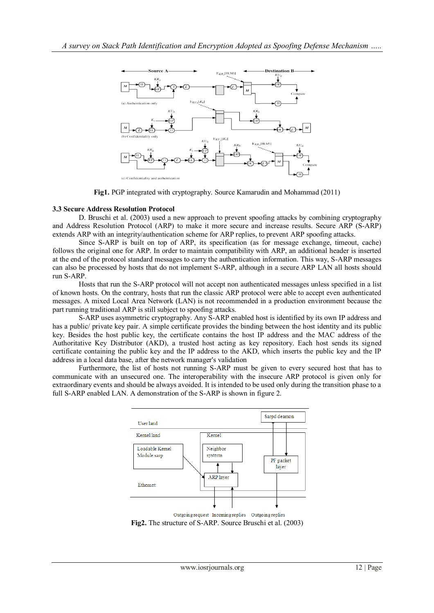

**Fig1.** PGP integrated with cryptography. Source Kamarudin and Mohammad (2011)

#### **3.3 Secure Address Resolution Protocol**

D. Bruschi et al. (2003) used a new approach to prevent spoofing attacks by combining cryptography and Address Resolution Protocol (ARP) to make it more secure and increase results. Secure ARP (S-ARP) extends ARP with an integrity/authentication scheme for ARP replies, to prevent ARP spoofing attacks.

Since S-ARP is built on top of ARP, its specification (as for message exchange, timeout, cache) follows the original one for ARP. In order to maintain compatibility with ARP, an additional header is inserted at the end of the protocol standard messages to carry the authentication information. This way, S-ARP messages can also be processed by hosts that do not implement S-ARP, although in a secure ARP LAN all hosts should run S-ARP.

Hosts that run the S-ARP protocol will not accept non authenticated messages unless specified in a list of known hosts. On the contrary, hosts that run the classic ARP protocol were able to accept even authenticated messages. A mixed Local Area Network (LAN) is not recommended in a production environment because the part running traditional ARP is still subject to spoofing attacks.

S-ARP uses asymmetric cryptography. Any S-ARP enabled host is identified by its own IP address and has a public/ private key pair. A simple certificate provides the binding between the host identity and its public key. Besides the host public key, the certificate contains the host IP address and the MAC address of the Authoritative Key Distributor (AKD), a trusted host acting as key repository. Each host sends its signed certificate containing the public key and the IP address to the AKD, which inserts the public key and the IP address in a local data base, after the network manager's validation

Furthermore, the list of hosts not running S-ARP must be given to every secured host that has to communicate with an unsecured one. The interoperability with the insecure ARP protocol is given only for extraordinary events and should be always avoided. It is intended to be used only during the transition phase to a full S-ARP enabled LAN. A demonstration of the S-ARP is shown in figure 2.

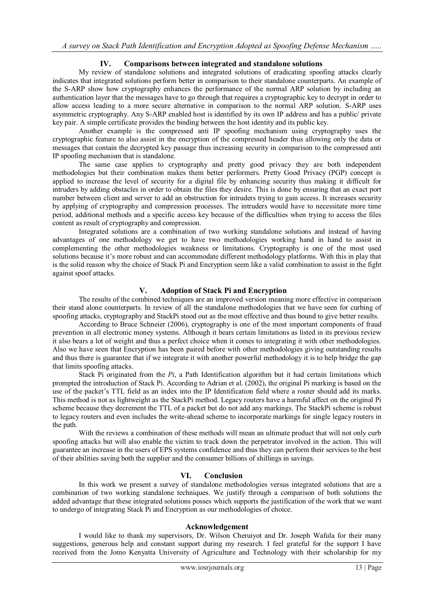## **IV. Comparisons between integrated and standalone solutions**

My review of standalone solutions and integrated solutions of eradicating spoofing attacks clearly indicates that integrated solutions perform better in comparison to their standalone counterparts. An example of the S-ARP show how cryptography enhances the performance of the normal ARP solution by including an authentication layer that the messages have to go through that requires a cryptographic key to decrypt in order to allow access leading to a more secure alternative in comparison to the normal ARP solution. S-ARP uses asymmetric cryptography. Any S-ARP enabled host is identified by its own IP address and has a public/ private key pair. A simple certificate provides the binding between the host identity and its public key.

Another example is the compressed anti IP spoofing mechanism using cryptography uses the cryptographic feature to also assist in the encryption of the compressed header thus allowing only the data or messages that contain the decrypted key passage thus increasing security in comparison to the compressed anti IP spoofing mechanism that is standalone.

The same case applies to cryptography and pretty good privacy they are both independent methodologies but their combination makes them better performers. Pretty Good Privacy (PGP) concept is applied to increase the level of security for a digital file by enhancing security thus making it difficult for intruders by adding obstacles in order to obtain the files they desire. This is done by ensuring that an exact port number between client and server to add an obstruction for intruders trying to gain access. It increases security by applying of cryptography and compression processes. The intruders would have to necessitate more time period, additional methods and a specific access key because of the difficulties when trying to access the files content as result of cryptography and compression.

Integrated solutions are a combination of two working standalone solutions and instead of having advantages of one methodology we get to have two methodologies working hand in hand to assist in complementing the other methodologies weakness or limitations. Cryptography is one of the most used solutions because it's more robust and can accommodate different methodology platforms. With this in play that is the solid reason why the choice of Stack Pi and Encryption seem like a valid combination to assist in the fight against spoof attacks.

#### **V. Adoption of Stack Pi and Encryption**

The results of the combined techniques are an improved version meaning more effective in comparison their stand alone counterparts. In review of all the standalone methodologies that we have seen for curbing of spoofing attacks, cryptography and StackPi stood out as the most effective and thus bound to give better results.

According to Bruce Schneier (2006), cryptography is one of the most important components of fraud prevention in all electronic money systems. Although it bears certain limitations as listed in its previous review it also bears a lot of weight and thus a perfect choice when it comes to integrating it with other methodologies. Also we have seen that Encryption has been paired before with other methodologies giving outstanding results and thus there is guarantee that if we integrate it with another powerful methodology it is to help bridge the gap that limits spoofing attacks.

Stack Pi originated from the *Pi*, a Path Identification algorithm but it had certain limitations which prompted the introduction of Stack Pi. According to Adrian et al. (2002), the original Pi marking is based on the use of the packet's TTL field as an index into the IP Identification field where a router should add its marks. This method is not as lightweight as the StackPi method. Legacy routers have a harmful affect on the original Pi scheme because they decrement the TTL of a packet but do not add any markings. The StackPi scheme is robust to legacy routers and even includes the write-ahead scheme to incorporate markings for single legacy routers in the path.

With the reviews a combination of these methods will mean an ultimate product that will not only curb spoofing attacks but will also enable the victim to track down the perpetrator involved in the action. This will guarantee an increase in the users of EPS systems confidence and thus they can perform their services to the best of their abilities saving both the supplier and the consumer billions of shillings in savings.

#### **VI. Conclusion**

In this work we present a survey of standalone methodologies versus integrated solutions that are a combination of two working standalone techniques. We justify through a comparison of both solutions the added advantage that these integrated solutions posses which supports the justification of the work that we want to undergo of integrating Stack Pi and Encryption as our methodologies of choice.

#### **Acknowledgement**

I would like to thank my supervisors, Dr. Wilson Cheruiyot and Dr. Joseph Wafula for their many suggestions, generous help and constant support during my research. I feel grateful for the support I have received from the Jomo Kenyatta University of Agriculture and Technology with their scholarship for my